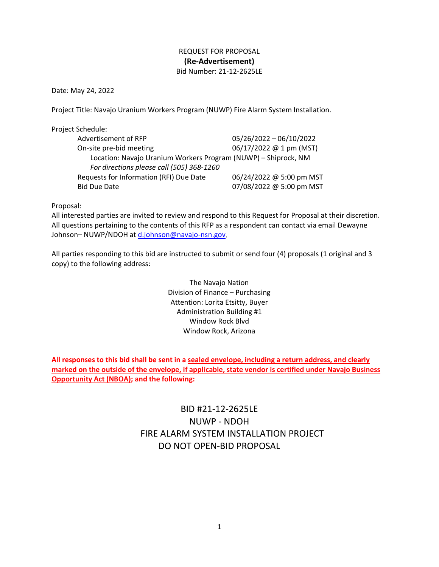# REQUEST FOR PROPOSAL **(Re-Advertisement)** Bid Number: 21-12-2625LE

Date: May 24, 2022

Project Title: Navajo Uranium Workers Program (NUWP) Fire Alarm System Installation.

Project Schedule:

| Advertisement of RFP                                           | 05/26/2022 - 06/10/2022  |
|----------------------------------------------------------------|--------------------------|
| On-site pre-bid meeting                                        | 06/17/2022 @ 1 pm (MST)  |
| Location: Navajo Uranium Workers Program (NUWP) - Shiprock, NM |                          |
| For directions please call (505) 368-1260                      |                          |
| Requests for Information (RFI) Due Date                        | 06/24/2022 @ 5:00 pm MST |
| <b>Bid Due Date</b>                                            | 07/08/2022 @ 5:00 pm MST |

Proposal:

All interested parties are invited to review and respond to this Request for Proposal at their discretion. All questions pertaining to the contents of this RFP as a respondent can contact via email Dewayne Johnson– NUWP/NDOH at [d.johnson@navajo-nsn.gov.](mailto:d.johnson@navajo-nsn.gov)

All parties responding to this bid are instructed to submit or send four (4) proposals (1 original and 3 copy) to the following address:

> The Navajo Nation Division of Finance – Purchasing Attention: Lorita Etsitty, Buyer Administration Building #1 Window Rock Blvd Window Rock, Arizona

**All responses to this bid shall be sent in a sealed envelope, including a return address, and clearly marked on the outside of the envelope, if applicable, state vendor is certified under Navajo Business Opportunity Act (NBOA); and the following:**

# BID #21-12-2625LE NUWP - NDOH FIRE ALARM SYSTEM INSTALLATION PROJECT DO NOT OPEN-BID PROPOSAL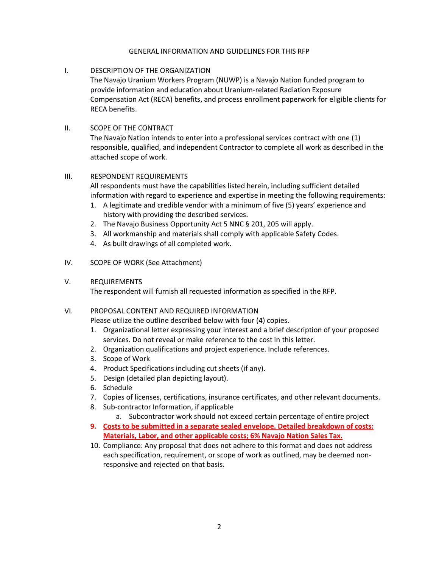#### GENERAL INFORMATION AND GUIDELINES FOR THIS RFP

### I. DESCRIPTION OF THE ORGANIZATION

The Navajo Uranium Workers Program (NUWP) is a Navajo Nation funded program to provide information and education about Uranium-related Radiation Exposure Compensation Act (RECA) benefits, and process enrollment paperwork for eligible clients for RECA benefits.

#### II. SCOPE OF THE CONTRACT

The Navajo Nation intends to enter into a professional services contract with one (1) responsible, qualified, and independent Contractor to complete all work as described in the attached scope of work.

#### III. RESPONDENT REQUIREMENTS

All respondents must have the capabilities listed herein, including sufficient detailed information with regard to experience and expertise in meeting the following requirements:

- 1. A legitimate and credible vendor with a minimum of five (5) years' experience and history with providing the described services.
- 2. The Navajo Business Opportunity Act 5 NNC § 201, 205 will apply.
- 3. All workmanship and materials shall comply with applicable Safety Codes.
- 4. As built drawings of all completed work.

### IV. SCOPE OF WORK (See Attachment)

#### V. REQUIREMENTS

The respondent will furnish all requested information as specified in the RFP.

## VI. PROPOSAL CONTENT AND REQUIRED INFORMATION

Please utilize the outline described below with four (4) copies.

- 1. Organizational letter expressing your interest and a brief description of your proposed services. Do not reveal or make reference to the cost in this letter.
- 2. Organization qualifications and project experience. Include references.
- 3. Scope of Work
- 4. Product Specifications including cut sheets (if any).
- 5. Design (detailed plan depicting layout).
- 6. Schedule
- 7. Copies of licenses, certifications, insurance certificates, and other relevant documents.
- 8. Sub-contractor Information, if applicable
	- a. Subcontractor work should not exceed certain percentage of entire project
- **9. Costs to be submitted in a separate sealed envelope. Detailed breakdown of costs: Materials, Labor, and other applicable costs; 6% Navajo Nation Sales Tax.**
- 10. Compliance: Any proposal that does not adhere to this format and does not address each specification, requirement, or scope of work as outlined, may be deemed nonresponsive and rejected on that basis.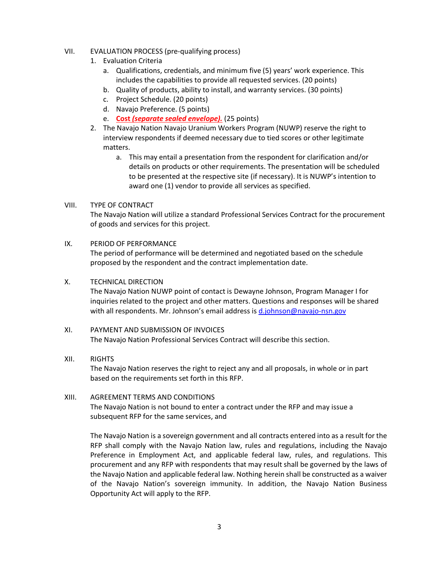#### VII. EVALUATION PROCESS (pre-qualifying process)

- 1. Evaluation Criteria
	- a. Qualifications, credentials, and minimum five (5) years' work experience. This includes the capabilities to provide all requested services. (20 points)
	- b. Quality of products, ability to install, and warranty services. (30 points)
	- c. Project Schedule. (20 points)
	- d. Navajo Preference. (5 points)
	- e. **Cost** *(separate sealed envelope).* (25 points)
- 2. The Navajo Nation Navajo Uranium Workers Program (NUWP) reserve the right to interview respondents if deemed necessary due to tied scores or other legitimate matters.
	- a. This may entail a presentation from the respondent for clarification and/or details on products or other requirements. The presentation will be scheduled to be presented at the respective site (if necessary). It is NUWP's intention to award one (1) vendor to provide all services as specified.

#### VIII. TYPE OF CONTRACT

The Navajo Nation will utilize a standard Professional Services Contract for the procurement of goods and services for this project.

#### IX. PERIOD OF PERFORMANCE

The period of performance will be determined and negotiated based on the schedule proposed by the respondent and the contract implementation date.

#### X. TECHNICAL DIRECTION

The Navajo Nation NUWP point of contact is Dewayne Johnson, Program Manager I for inquiries related to the project and other matters. Questions and responses will be shared with all respondents. Mr. Johnson's email address is [d.johnson@navajo-nsn.gov](mailto:d.johnson@navajo-nsn.gov)

#### XI. PAYMENT AND SUBMISSION OF INVOICES The Navajo Nation Professional Services Contract will describe this section.

### XII. RIGHTS

The Navajo Nation reserves the right to reject any and all proposals, in whole or in part based on the requirements set forth in this RFP.

#### XIII. AGREEMENT TERMS AND CONDITIONS

The Navajo Nation is not bound to enter a contract under the RFP and may issue a subsequent RFP for the same services, and

The Navajo Nation is a sovereign government and all contracts entered into as a result for the RFP shall comply with the Navajo Nation law, rules and regulations, including the Navajo Preference in Employment Act, and applicable federal law, rules, and regulations. This procurement and any RFP with respondents that may result shall be governed by the laws of the Navajo Nation and applicable federal law. Nothing herein shall be constructed as a waiver of the Navajo Nation's sovereign immunity. In addition, the Navajo Nation Business Opportunity Act will apply to the RFP.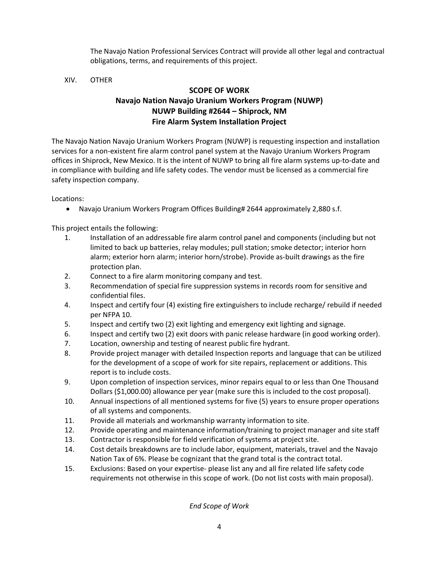The Navajo Nation Professional Services Contract will provide all other legal and contractual obligations, terms, and requirements of this project.

## XIV. OTHER

# **SCOPE OF WORK Navajo Nation Navajo Uranium Workers Program (NUWP) NUWP Building #2644 – Shiprock, NM Fire Alarm System Installation Project**

The Navajo Nation Navajo Uranium Workers Program (NUWP) is requesting inspection and installation services for a non-existent fire alarm control panel system at the Navajo Uranium Workers Program offices in Shiprock, New Mexico. It is the intent of NUWP to bring all fire alarm systems up-to-date and in compliance with building and life safety codes. The vendor must be licensed as a commercial fire safety inspection company.

Locations:

• Navajo Uranium Workers Program Offices Building# 2644 approximately 2,880 s.f.

This project entails the following:

- 1. Installation of an addressable fire alarm control panel and components (including but not limited to back up batteries, relay modules; pull station; smoke detector; interior horn alarm; exterior horn alarm; interior horn/strobe). Provide as-built drawings as the fire protection plan.
- 2. Connect to a fire alarm monitoring company and test.
- 3. Recommendation of special fire suppression systems in records room for sensitive and confidential files.
- 4. Inspect and certify four (4) existing fire extinguishers to include recharge/ rebuild if needed per NFPA 10.
- 5. Inspect and certify two (2) exit lighting and emergency exit lighting and signage.
- 6. Inspect and certify two (2) exit doors with panic release hardware (in good working order).
- 7. Location, ownership and testing of nearest public fire hydrant.
- 8. Provide project manager with detailed Inspection reports and language that can be utilized for the development of a scope of work for site repairs, replacement or additions. This report is to include costs.
- 9. Upon completion of inspection services, minor repairs equal to or less than One Thousand Dollars (\$1,000.00) allowance per year (make sure this is included to the cost proposal).
- 10. Annual inspections of all mentioned systems for five (5) years to ensure proper operations of all systems and components.
- 11. Provide all materials and workmanship warranty information to site.
- 12. Provide operating and maintenance information/training to project manager and site staff
- 13. Contractor is responsible for field verification of systems at project site.
- 14. Cost details breakdowns are to include labor, equipment, materials, travel and the Navajo Nation Tax of 6%. Please be cognizant that the grand total is the contract total.
- 15. Exclusions: Based on your expertise- please list any and all fire related life safety code requirements not otherwise in this scope of work. (Do not list costs with main proposal).

*End Scope of Work*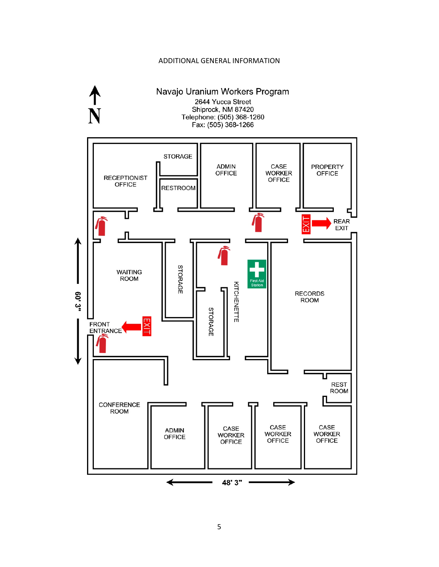